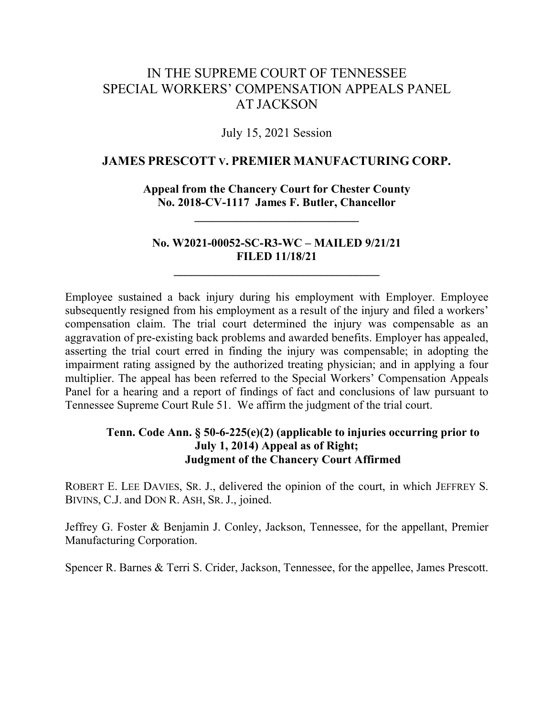# IN THE SUPREME COURT OF TENNESSEE SPECIAL WORKERS' COMPENSATION APPEALS PANEL AT JACKSON

## July 15, 2021 Session

## **JAMES PRESCOTT V. PREMIER MANUFACTURING CORP.**

**Appeal from the Chancery Court for Chester County No. 2018-CV-1117 James F. Butler, Chancellor**

**\_\_\_\_\_\_\_\_\_\_\_\_\_\_\_\_\_\_\_\_\_\_\_\_\_\_\_\_**

## **No. W2021-00052-SC-R3-WC – MAILED 9/21/21 FILED 11/18/21**

**\_\_\_\_\_\_\_\_\_\_\_\_\_\_\_\_\_\_\_\_\_\_\_\_\_\_\_\_\_\_\_\_\_\_\_**

Employee sustained a back injury during his employment with Employer. Employee subsequently resigned from his employment as a result of the injury and filed a workers' compensation claim. The trial court determined the injury was compensable as an aggravation of pre-existing back problems and awarded benefits. Employer has appealed, asserting the trial court erred in finding the injury was compensable; in adopting the impairment rating assigned by the authorized treating physician; and in applying a four multiplier. The appeal has been referred to the Special Workers' Compensation Appeals Panel for a hearing and a report of findings of fact and conclusions of law pursuant to Tennessee Supreme Court Rule 51. We affirm the judgment of the trial court.

## **Tenn. Code Ann. § 50-6-225(e)(2) (applicable to injuries occurring prior to July 1, 2014) Appeal as of Right; Judgment of the Chancery Court Affirmed**

ROBERT E. LEE DAVIES, SR. J., delivered the opinion of the court, in which JEFFREY S. BIVINS, C.J. and DON R. ASH, SR. J., joined.

Jeffrey G. Foster & Benjamin J. Conley, Jackson, Tennessee, for the appellant, Premier Manufacturing Corporation.

Spencer R. Barnes & Terri S. Crider, Jackson, Tennessee, for the appellee, James Prescott.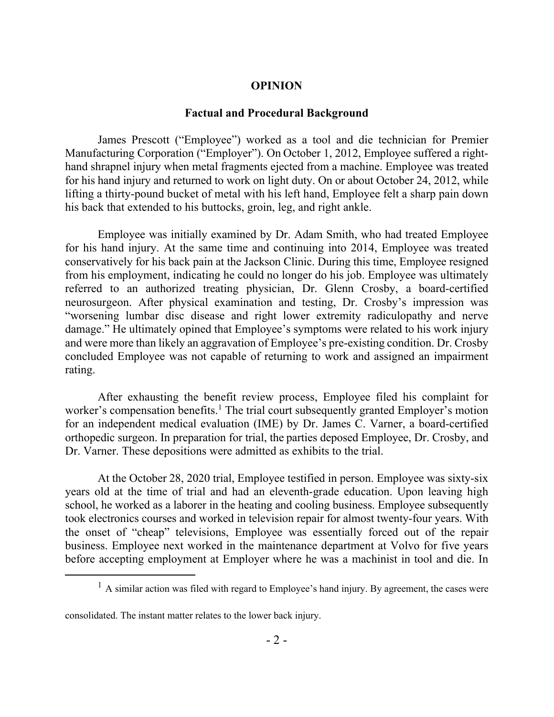## **OPINION**

#### **Factual and Procedural Background**

James Prescott ("Employee") worked as a tool and die technician for Premier Manufacturing Corporation ("Employer"). On October 1, 2012, Employee suffered a righthand shrapnel injury when metal fragments ejected from a machine. Employee was treated for his hand injury and returned to work on light duty. On or about October 24, 2012, while lifting a thirty-pound bucket of metal with his left hand, Employee felt a sharp pain down his back that extended to his buttocks, groin, leg, and right ankle.

Employee was initially examined by Dr. Adam Smith, who had treated Employee for his hand injury. At the same time and continuing into 2014, Employee was treated conservatively for his back pain at the Jackson Clinic. During this time, Employee resigned from his employment, indicating he could no longer do his job. Employee was ultimately referred to an authorized treating physician, Dr. Glenn Crosby, a board-certified neurosurgeon. After physical examination and testing, Dr. Crosby's impression was "worsening lumbar disc disease and right lower extremity radiculopathy and nerve damage." He ultimately opined that Employee's symptoms were related to his work injury and were more than likely an aggravation of Employee's pre-existing condition. Dr. Crosby concluded Employee was not capable of returning to work and assigned an impairment rating.

After exhausting the benefit review process, Employee filed his complaint for worker's compensation benefits.<sup>1</sup> The trial court subsequently granted Employer's motion for an independent medical evaluation (IME) by Dr. James C. Varner, a board-certified orthopedic surgeon. In preparation for trial, the parties deposed Employee, Dr. Crosby, and Dr. Varner. These depositions were admitted as exhibits to the trial.

At the October 28, 2020 trial, Employee testified in person. Employee was sixty-six years old at the time of trial and had an eleventh-grade education. Upon leaving high school, he worked as a laborer in the heating and cooling business. Employee subsequently took electronics courses and worked in television repair for almost twenty-four years. With the onset of "cheap" televisions, Employee was essentially forced out of the repair business. Employee next worked in the maintenance department at Volvo for five years before accepting employment at Employer where he was a machinist in tool and die. In

consolidated. The instant matter relates to the lower back injury.

 $\overline{a}$ 

 $<sup>1</sup>$  A similar action was filed with regard to Employee's hand injury. By agreement, the cases were</sup>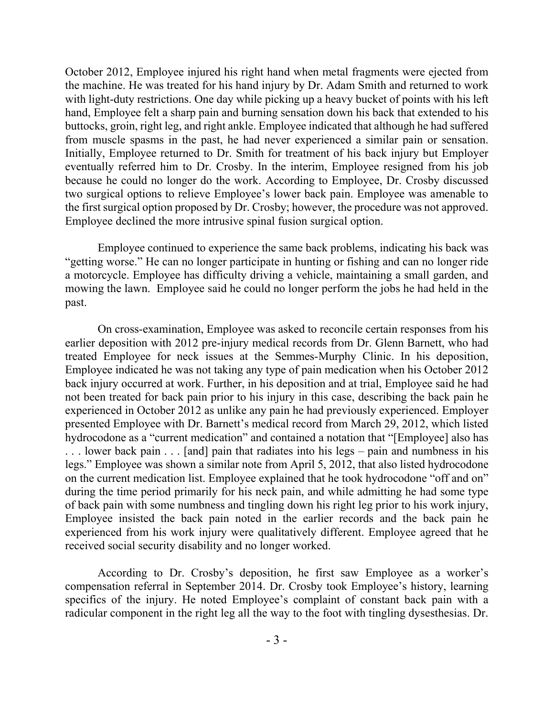October 2012, Employee injured his right hand when metal fragments were ejected from the machine. He was treated for his hand injury by Dr. Adam Smith and returned to work with light-duty restrictions. One day while picking up a heavy bucket of points with his left hand, Employee felt a sharp pain and burning sensation down his back that extended to his buttocks, groin, right leg, and right ankle. Employee indicated that although he had suffered from muscle spasms in the past, he had never experienced a similar pain or sensation. Initially, Employee returned to Dr. Smith for treatment of his back injury but Employer eventually referred him to Dr. Crosby. In the interim, Employee resigned from his job because he could no longer do the work. According to Employee, Dr. Crosby discussed two surgical options to relieve Employee's lower back pain. Employee was amenable to the first surgical option proposed by Dr. Crosby; however, the procedure was not approved. Employee declined the more intrusive spinal fusion surgical option.

Employee continued to experience the same back problems, indicating his back was "getting worse." He can no longer participate in hunting or fishing and can no longer ride a motorcycle. Employee has difficulty driving a vehicle, maintaining a small garden, and mowing the lawn. Employee said he could no longer perform the jobs he had held in the past.

On cross-examination, Employee was asked to reconcile certain responses from his earlier deposition with 2012 pre-injury medical records from Dr. Glenn Barnett, who had treated Employee for neck issues at the Semmes-Murphy Clinic. In his deposition, Employee indicated he was not taking any type of pain medication when his October 2012 back injury occurred at work. Further, in his deposition and at trial, Employee said he had not been treated for back pain prior to his injury in this case, describing the back pain he experienced in October 2012 as unlike any pain he had previously experienced. Employer presented Employee with Dr. Barnett's medical record from March 29, 2012, which listed hydrocodone as a "current medication" and contained a notation that "[Employee] also has . . . lower back pain . . . [and] pain that radiates into his legs – pain and numbness in his legs." Employee was shown a similar note from April 5, 2012, that also listed hydrocodone on the current medication list. Employee explained that he took hydrocodone "off and on" during the time period primarily for his neck pain, and while admitting he had some type of back pain with some numbness and tingling down his right leg prior to his work injury, Employee insisted the back pain noted in the earlier records and the back pain he experienced from his work injury were qualitatively different. Employee agreed that he received social security disability and no longer worked.

According to Dr. Crosby's deposition, he first saw Employee as a worker's compensation referral in September 2014. Dr. Crosby took Employee's history, learning specifics of the injury. He noted Employee's complaint of constant back pain with a radicular component in the right leg all the way to the foot with tingling dysesthesias. Dr.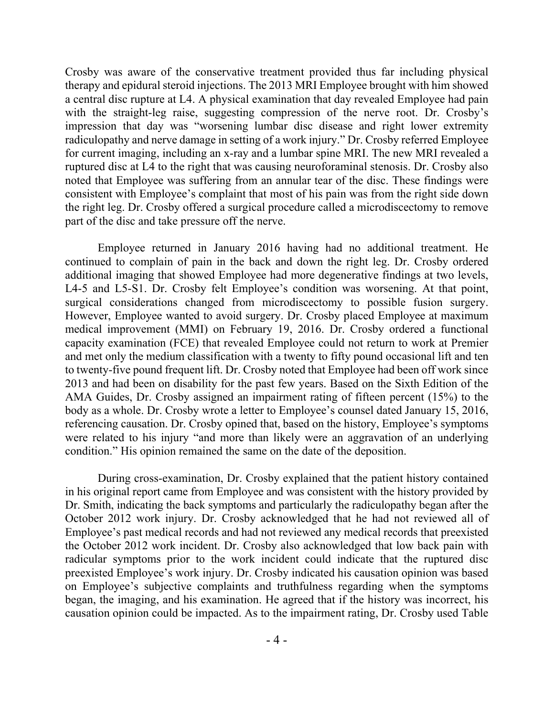Crosby was aware of the conservative treatment provided thus far including physical therapy and epidural steroid injections. The 2013 MRI Employee brought with him showed a central disc rupture at L4. A physical examination that day revealed Employee had pain with the straight-leg raise, suggesting compression of the nerve root. Dr. Crosby's impression that day was "worsening lumbar disc disease and right lower extremity radiculopathy and nerve damage in setting of a work injury." Dr. Crosby referred Employee for current imaging, including an x-ray and a lumbar spine MRI. The new MRI revealed a ruptured disc at L4 to the right that was causing neuroforaminal stenosis. Dr. Crosby also noted that Employee was suffering from an annular tear of the disc. These findings were consistent with Employee's complaint that most of his pain was from the right side down the right leg. Dr. Crosby offered a surgical procedure called a microdiscectomy to remove part of the disc and take pressure off the nerve.

Employee returned in January 2016 having had no additional treatment. He continued to complain of pain in the back and down the right leg. Dr. Crosby ordered additional imaging that showed Employee had more degenerative findings at two levels, L4-5 and L5-S1. Dr. Crosby felt Employee's condition was worsening. At that point, surgical considerations changed from microdiscectomy to possible fusion surgery. However, Employee wanted to avoid surgery. Dr. Crosby placed Employee at maximum medical improvement (MMI) on February 19, 2016. Dr. Crosby ordered a functional capacity examination (FCE) that revealed Employee could not return to work at Premier and met only the medium classification with a twenty to fifty pound occasional lift and ten to twenty-five pound frequent lift. Dr. Crosby noted that Employee had been off work since 2013 and had been on disability for the past few years. Based on the Sixth Edition of the AMA Guides, Dr. Crosby assigned an impairment rating of fifteen percent (15%) to the body as a whole. Dr. Crosby wrote a letter to Employee's counsel dated January 15, 2016, referencing causation. Dr. Crosby opined that, based on the history, Employee's symptoms were related to his injury "and more than likely were an aggravation of an underlying condition." His opinion remained the same on the date of the deposition.

During cross-examination, Dr. Crosby explained that the patient history contained in his original report came from Employee and was consistent with the history provided by Dr. Smith, indicating the back symptoms and particularly the radiculopathy began after the October 2012 work injury. Dr. Crosby acknowledged that he had not reviewed all of Employee's past medical records and had not reviewed any medical records that preexisted the October 2012 work incident. Dr. Crosby also acknowledged that low back pain with radicular symptoms prior to the work incident could indicate that the ruptured disc preexisted Employee's work injury. Dr. Crosby indicated his causation opinion was based on Employee's subjective complaints and truthfulness regarding when the symptoms began, the imaging, and his examination. He agreed that if the history was incorrect, his causation opinion could be impacted. As to the impairment rating, Dr. Crosby used Table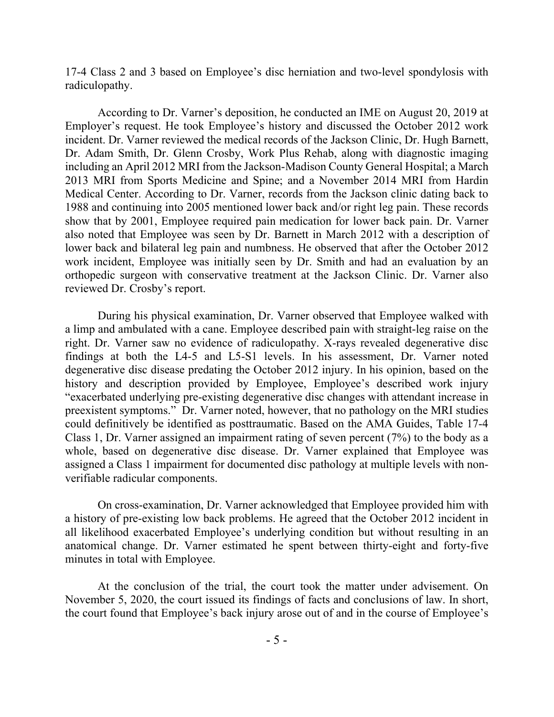17-4 Class 2 and 3 based on Employee's disc herniation and two-level spondylosis with radiculopathy.

According to Dr. Varner's deposition, he conducted an IME on August 20, 2019 at Employer's request. He took Employee's history and discussed the October 2012 work incident. Dr. Varner reviewed the medical records of the Jackson Clinic, Dr. Hugh Barnett, Dr. Adam Smith, Dr. Glenn Crosby, Work Plus Rehab, along with diagnostic imaging including an April 2012 MRI from the Jackson-Madison County General Hospital; a March 2013 MRI from Sports Medicine and Spine; and a November 2014 MRI from Hardin Medical Center. According to Dr. Varner, records from the Jackson clinic dating back to 1988 and continuing into 2005 mentioned lower back and/or right leg pain. These records show that by 2001, Employee required pain medication for lower back pain. Dr. Varner also noted that Employee was seen by Dr. Barnett in March 2012 with a description of lower back and bilateral leg pain and numbness. He observed that after the October 2012 work incident, Employee was initially seen by Dr. Smith and had an evaluation by an orthopedic surgeon with conservative treatment at the Jackson Clinic. Dr. Varner also reviewed Dr. Crosby's report.

During his physical examination, Dr. Varner observed that Employee walked with a limp and ambulated with a cane. Employee described pain with straight-leg raise on the right. Dr. Varner saw no evidence of radiculopathy. X-rays revealed degenerative disc findings at both the L4-5 and L5-S1 levels. In his assessment, Dr. Varner noted degenerative disc disease predating the October 2012 injury. In his opinion, based on the history and description provided by Employee, Employee's described work injury "exacerbated underlying pre-existing degenerative disc changes with attendant increase in preexistent symptoms." Dr. Varner noted, however, that no pathology on the MRI studies could definitively be identified as posttraumatic. Based on the AMA Guides, Table 17-4 Class 1, Dr. Varner assigned an impairment rating of seven percent (7%) to the body as a whole, based on degenerative disc disease. Dr. Varner explained that Employee was assigned a Class 1 impairment for documented disc pathology at multiple levels with nonverifiable radicular components.

On cross-examination, Dr. Varner acknowledged that Employee provided him with a history of pre-existing low back problems. He agreed that the October 2012 incident in all likelihood exacerbated Employee's underlying condition but without resulting in an anatomical change. Dr. Varner estimated he spent between thirty-eight and forty-five minutes in total with Employee.

At the conclusion of the trial, the court took the matter under advisement. On November 5, 2020, the court issued its findings of facts and conclusions of law. In short, the court found that Employee's back injury arose out of and in the course of Employee's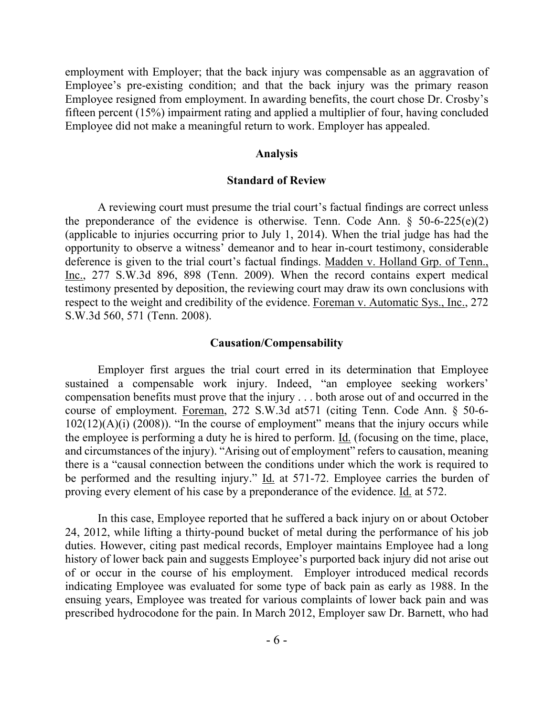employment with Employer; that the back injury was compensable as an aggravation of Employee's pre-existing condition; and that the back injury was the primary reason Employee resigned from employment. In awarding benefits, the court chose Dr. Crosby's fifteen percent (15%) impairment rating and applied a multiplier of four, having concluded Employee did not make a meaningful return to work. Employer has appealed.

### **Analysis**

## **Standard of Review**

A reviewing court must presume the trial court's factual findings are correct unless the preponderance of the evidence is otherwise. Tenn. Code Ann.  $\S$  50-6-225(e)(2) (applicable to injuries occurring prior to July 1, 2014). When the trial judge has had the opportunity to observe a witness' demeanor and to hear in-court testimony, considerable deference is given to the trial court's factual findings. Madden v. Holland Grp. of Tenn., Inc., 277 S.W.3d 896, 898 (Tenn. 2009). When the record contains expert medical testimony presented by deposition, the reviewing court may draw its own conclusions with respect to the weight and credibility of the evidence. Foreman v. Automatic Sys., Inc., 272 S.W.3d 560, 571 (Tenn. 2008).

### **Causation/Compensability**

Employer first argues the trial court erred in its determination that Employee sustained a compensable work injury. Indeed, "an employee seeking workers' compensation benefits must prove that the injury . . . both arose out of and occurred in the course of employment. Foreman, 272 S.W.3d at571 (citing Tenn. Code Ann. § 50-6-  $102(12)(A)(i)$  (2008)). "In the course of employment" means that the injury occurs while the employee is performing a duty he is hired to perform. Id. (focusing on the time, place, and circumstances of the injury). "Arising out of employment" refers to causation, meaning there is a "causal connection between the conditions under which the work is required to be performed and the resulting injury." Id. at 571-72. Employee carries the burden of proving every element of his case by a preponderance of the evidence. Id. at 572.

In this case, Employee reported that he suffered a back injury on or about October 24, 2012, while lifting a thirty-pound bucket of metal during the performance of his job duties. However, citing past medical records, Employer maintains Employee had a long history of lower back pain and suggests Employee's purported back injury did not arise out of or occur in the course of his employment. Employer introduced medical records indicating Employee was evaluated for some type of back pain as early as 1988. In the ensuing years, Employee was treated for various complaints of lower back pain and was prescribed hydrocodone for the pain. In March 2012, Employer saw Dr. Barnett, who had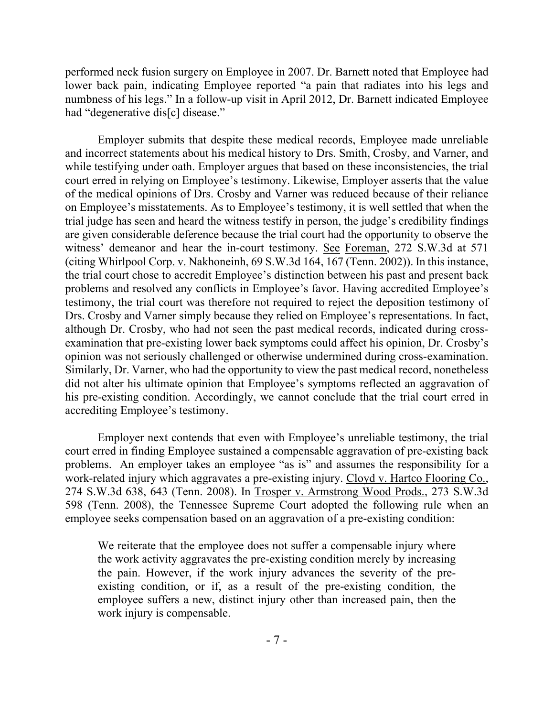performed neck fusion surgery on Employee in 2007. Dr. Barnett noted that Employee had lower back pain, indicating Employee reported "a pain that radiates into his legs and numbness of his legs." In a follow-up visit in April 2012, Dr. Barnett indicated Employee had "degenerative dis[c] disease."

Employer submits that despite these medical records, Employee made unreliable and incorrect statements about his medical history to Drs. Smith, Crosby, and Varner, and while testifying under oath. Employer argues that based on these inconsistencies, the trial court erred in relying on Employee's testimony. Likewise, Employer asserts that the value of the medical opinions of Drs. Crosby and Varner was reduced because of their reliance on Employee's misstatements. As to Employee's testimony, it is well settled that when the trial judge has seen and heard the witness testify in person, the judge's credibility findings are given considerable deference because the trial court had the opportunity to observe the witness' demeanor and hear the in-court testimony. See Foreman, 272 S.W.3d at 571 (citing Whirlpool Corp. v. Nakhoneinh, 69 S.W.3d 164, 167 (Tenn. 2002)). In this instance, the trial court chose to accredit Employee's distinction between his past and present back problems and resolved any conflicts in Employee's favor. Having accredited Employee's testimony, the trial court was therefore not required to reject the deposition testimony of Drs. Crosby and Varner simply because they relied on Employee's representations. In fact, although Dr. Crosby, who had not seen the past medical records, indicated during crossexamination that pre-existing lower back symptoms could affect his opinion, Dr. Crosby's opinion was not seriously challenged or otherwise undermined during cross-examination. Similarly, Dr. Varner, who had the opportunity to view the past medical record, nonetheless did not alter his ultimate opinion that Employee's symptoms reflected an aggravation of his pre-existing condition. Accordingly, we cannot conclude that the trial court erred in accrediting Employee's testimony.

Employer next contends that even with Employee's unreliable testimony, the trial court erred in finding Employee sustained a compensable aggravation of pre-existing back problems. An employer takes an employee "as is" and assumes the responsibility for a work-related injury which aggravates a pre-existing injury. Cloyd v. Hartco Flooring Co., 274 S.W.3d 638, 643 (Tenn. 2008). In Trosper v. Armstrong Wood Prods., 273 S.W.3d 598 (Tenn. 2008), the Tennessee Supreme Court adopted the following rule when an employee seeks compensation based on an aggravation of a pre-existing condition:

We reiterate that the employee does not suffer a compensable injury where the work activity aggravates the pre-existing condition merely by increasing the pain. However, if the work injury advances the severity of the preexisting condition, or if, as a result of the pre-existing condition, the employee suffers a new, distinct injury other than increased pain, then the work injury is compensable.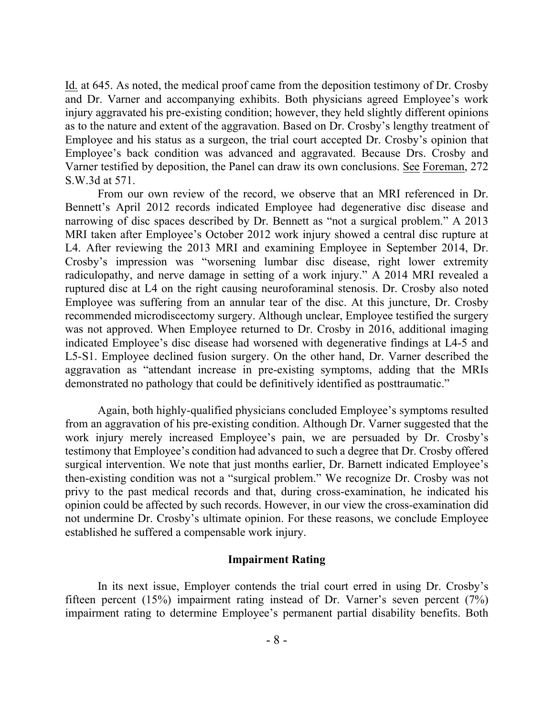Id. at 645. As noted, the medical proof came from the deposition testimony of Dr. Crosby and Dr. Varner and accompanying exhibits. Both physicians agreed Employee's work injury aggravated his pre-existing condition; however, they held slightly different opinions as to the nature and extent of the aggravation. Based on Dr. Crosby's lengthy treatment of Employee and his status as a surgeon, the trial court accepted Dr. Crosby's opinion that Employee's back condition was advanced and aggravated. Because Drs. Crosby and Varner testified by deposition, the Panel can draw its own conclusions. See Foreman, 272 S.W.3d at 571.

From our own review of the record, we observe that an MRI referenced in Dr. Bennett's April 2012 records indicated Employee had degenerative disc disease and narrowing of disc spaces described by Dr. Bennett as "not a surgical problem." A 2013 MRI taken after Employee's October 2012 work injury showed a central disc rupture at L4. After reviewing the 2013 MRI and examining Employee in September 2014, Dr. Crosby's impression was "worsening lumbar disc disease, right lower extremity radiculopathy, and nerve damage in setting of a work injury." A 2014 MRI revealed a ruptured disc at L4 on the right causing neuroforaminal stenosis. Dr. Crosby also noted Employee was suffering from an annular tear of the disc. At this juncture, Dr. Crosby recommended microdiscectomy surgery. Although unclear, Employee testified the surgery was not approved. When Employee returned to Dr. Crosby in 2016, additional imaging indicated Employee's disc disease had worsened with degenerative findings at L4-5 and L5-S1. Employee declined fusion surgery. On the other hand, Dr. Varner described the aggravation as "attendant increase in pre-existing symptoms, adding that the MRIs demonstrated no pathology that could be definitively identified as posttraumatic."

Again, both highly-qualified physicians concluded Employee's symptoms resulted from an aggravation of his pre-existing condition. Although Dr. Varner suggested that the work injury merely increased Employee's pain, we are persuaded by Dr. Crosby's testimony that Employee's condition had advanced to such a degree that Dr. Crosby offered surgical intervention. We note that just months earlier, Dr. Barnett indicated Employee's then-existing condition was not a "surgical problem." We recognize Dr. Crosby was not privy to the past medical records and that, during cross-examination, he indicated his opinion could be affected by such records. However, in our view the cross-examination did not undermine Dr. Crosby's ultimate opinion. For these reasons, we conclude Employee established he suffered a compensable work injury.

#### **Impairment Rating**

In its next issue, Employer contends the trial court erred in using Dr. Crosby's fifteen percent (15%) impairment rating instead of Dr. Varner's seven percent (7%) impairment rating to determine Employee's permanent partial disability benefits. Both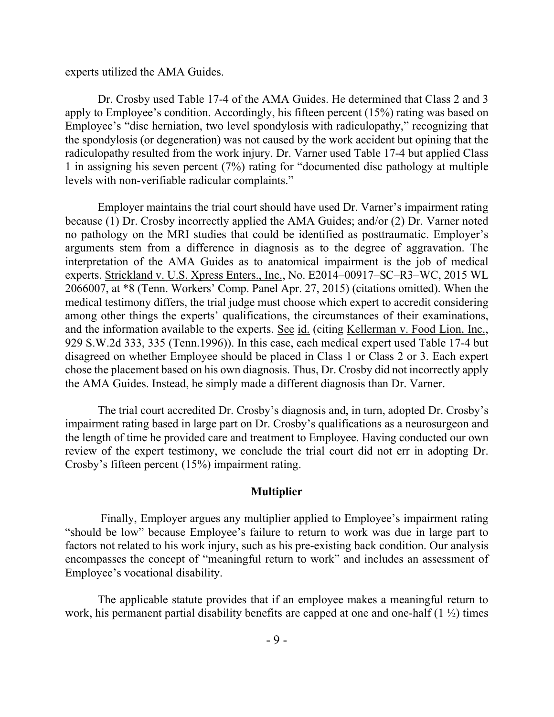experts utilized the AMA Guides.

Dr. Crosby used Table 17-4 of the AMA Guides. He determined that Class 2 and 3 apply to Employee's condition. Accordingly, his fifteen percent (15%) rating was based on Employee's "disc herniation, two level spondylosis with radiculopathy," recognizing that the spondylosis (or degeneration) was not caused by the work accident but opining that the radiculopathy resulted from the work injury. Dr. Varner used Table 17-4 but applied Class 1 in assigning his seven percent (7%) rating for "documented disc pathology at multiple levels with non-verifiable radicular complaints."

Employer maintains the trial court should have used Dr. Varner's impairment rating because (1) Dr. Crosby incorrectly applied the AMA Guides; and/or (2) Dr. Varner noted no pathology on the MRI studies that could be identified as posttraumatic. Employer's arguments stem from a difference in diagnosis as to the degree of aggravation. The interpretation of the AMA Guides as to anatomical impairment is the job of medical experts. Strickland v. U.S. Xpress Enters., Inc., No. E2014–00917–SC–R3–WC, 2015 WL 2066007, at \*8 (Tenn. Workers' Comp. Panel Apr. 27, 2015) (citations omitted). When the medical testimony differs, the trial judge must choose which expert to accredit considering among other things the experts' qualifications, the circumstances of their examinations, and the information available to the experts. See id. (citing Kellerman v. Food Lion, Inc., 929 S.W.2d 333, 335 (Tenn.1996)). In this case, each medical expert used Table 17-4 but disagreed on whether Employee should be placed in Class 1 or Class 2 or 3. Each expert chose the placement based on his own diagnosis. Thus, Dr. Crosby did not incorrectly apply the AMA Guides. Instead, he simply made a different diagnosis than Dr. Varner.

The trial court accredited Dr. Crosby's diagnosis and, in turn, adopted Dr. Crosby's impairment rating based in large part on Dr. Crosby's qualifications as a neurosurgeon and the length of time he provided care and treatment to Employee. Having conducted our own review of the expert testimony, we conclude the trial court did not err in adopting Dr. Crosby's fifteen percent (15%) impairment rating.

### **Multiplier**

Finally, Employer argues any multiplier applied to Employee's impairment rating "should be low" because Employee's failure to return to work was due in large part to factors not related to his work injury, such as his pre-existing back condition. Our analysis encompasses the concept of "meaningful return to work" and includes an assessment of Employee's vocational disability.

The applicable statute provides that if an employee makes a meaningful return to work, his permanent partial disability benefits are capped at one and one-half  $(1 \frac{1}{2})$  times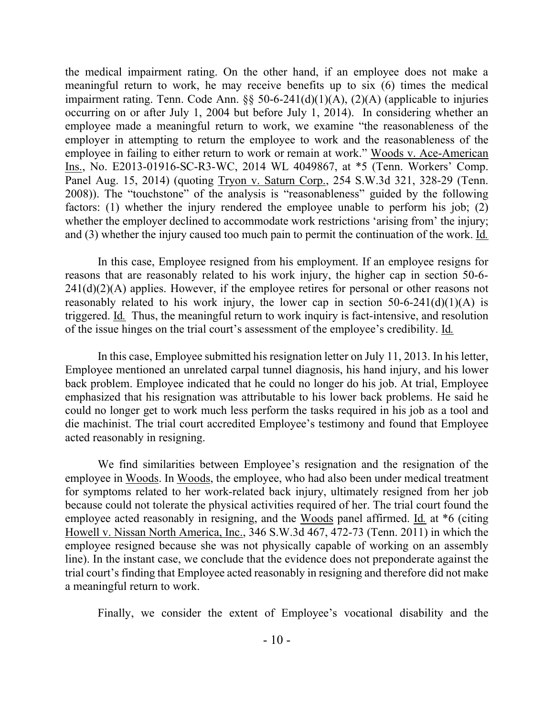the medical impairment rating. On the other hand, if an employee does not make a meaningful return to work, he may receive benefits up to six (6) times the medical impairment rating. Tenn. Code Ann.  $\S$ § 50-6-241(d)(1)(A), (2)(A) (applicable to injuries occurring on or after July 1, 2004 but before July 1, 2014). In considering whether an employee made a meaningful return to work, we examine "the reasonableness of the employer in attempting to return the employee to work and the reasonableness of the employee in failing to either return to work or remain at work." Woods v. Ace-American Ins., No. E2013-01916-SC-R3-WC, 2014 WL 4049867, at \*5 (Tenn. Workers' Comp. Panel Aug. 15, 2014) (quoting Tryon v. Saturn Corp., 254 S.W.3d 321, 328-29 (Tenn. 2008)). The "touchstone" of the analysis is "reasonableness" guided by the following factors: (1) whether the injury rendered the employee unable to perform his job; (2) whether the employer declined to accommodate work restrictions 'arising from' the injury; and (3) whether the injury caused too much pain to permit the continuation of the work. Id*.*

In this case, Employee resigned from his employment. If an employee resigns for reasons that are reasonably related to his work injury, the higher cap in section 50-6-  $241(d)(2)(A)$  applies. However, if the employee retires for personal or other reasons not reasonably related to his work injury, the lower cap in section  $50-6-241(d)(1)(A)$  is triggered. Id*.* Thus, the meaningful return to work inquiry is fact-intensive, and resolution of the issue hinges on the trial court's assessment of the employee's credibility. Id*.*

In this case, Employee submitted his resignation letter on July 11, 2013. In his letter, Employee mentioned an unrelated carpal tunnel diagnosis, his hand injury, and his lower back problem. Employee indicated that he could no longer do his job. At trial, Employee emphasized that his resignation was attributable to his lower back problems. He said he could no longer get to work much less perform the tasks required in his job as a tool and die machinist. The trial court accredited Employee's testimony and found that Employee acted reasonably in resigning.

We find similarities between Employee's resignation and the resignation of the employee in Woods. In Woods, the employee, who had also been under medical treatment for symptoms related to her work-related back injury, ultimately resigned from her job because could not tolerate the physical activities required of her. The trial court found the employee acted reasonably in resigning, and the Woods panel affirmed. Id. at \*6 (citing Howell v. Nissan North America, Inc., 346 S.W.3d 467, 472-73 (Tenn. 2011) in which the employee resigned because she was not physically capable of working on an assembly line). In the instant case, we conclude that the evidence does not preponderate against the trial court's finding that Employee acted reasonably in resigning and therefore did not make a meaningful return to work.

Finally, we consider the extent of Employee's vocational disability and the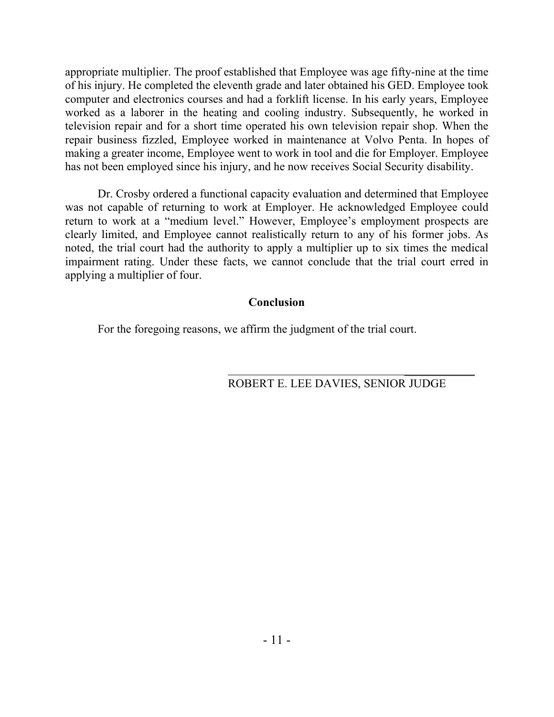appropriate multiplier. The proof established that Employee was age fifty-nine at the time of his injury. He completed the eleventh grade and later obtained his GED. Employee took computer and electronics courses and had a forklift license. In his early years, Employee worked as a laborer in the heating and cooling industry. Subsequently, he worked in television repair and for a short time operated his own television repair shop. When the repair business fizzled, Employee worked in maintenance at Volvo Penta. In hopes of making a greater income, Employee went to work in tool and die for Employer. Employee has not been employed since his injury, and he now receives Social Security disability.

Dr. Crosby ordered a functional capacity evaluation and determined that Employee was not capable of returning to work at Employer. He acknowledged Employee could return to work at a "medium level." However, Employee's employment prospects are clearly limited, and Employee cannot realistically return to any of his former jobs. As noted, the trial court had the authority to apply a multiplier up to six times the medical impairment rating. Under these facts, we cannot conclude that the trial court erred in applying a multiplier of four.

## **Conclusion**

For the foregoing reasons, we affirm the judgment of the trial court.

# ROBERT E. LEE DAVIES, SENIOR JUDGE

 $\mathcal{L}_\text{max}$  and  $\mathcal{L}_\text{max}$  are the set of the set of the set of the set of the set of the set of the set of the set of the set of the set of the set of the set of the set of the set of the set of the set of the set o